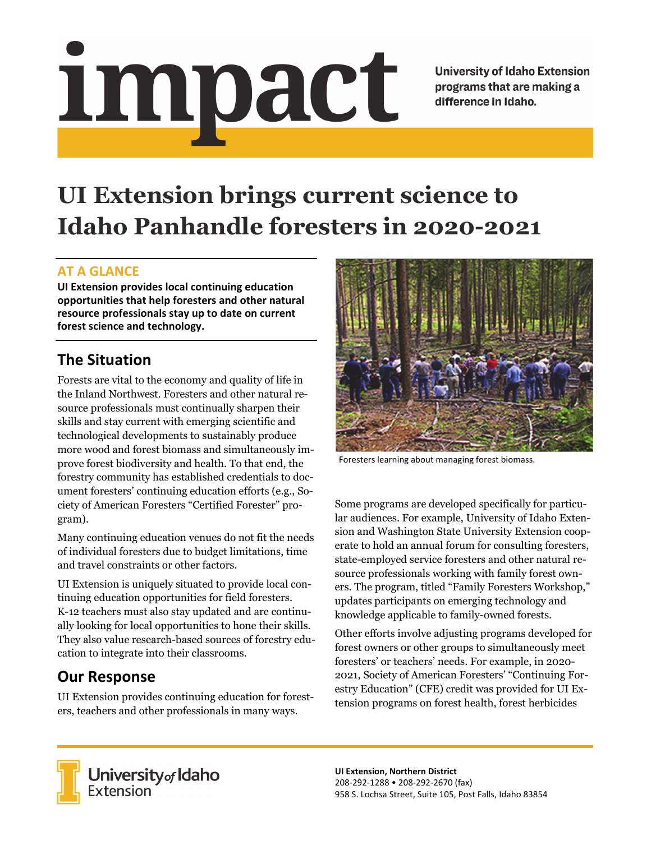# Impact

**University of Idaho Extension** programs that are making a difference in Idaho.

# **UI Extension brings current science to Idaho Panhandle foresters in 2020-2021**

#### **AT A GLANCE**

**UI Extension provides local continuing education opportunities that help foresters and other natural resource professionals stay up to date on current forest science and technology.**

# **The Situation**

Forests are vital to the economy and quality of life in the Inland Northwest. Foresters and other natural resource professionals must continually sharpen their skills and stay current with emerging scientific and technological developments to sustainably produce more wood and forest biomass and simultaneously improve forest biodiversity and health. To that end, the forestry community has established credentials to document foresters' continuing education efforts (e.g., Society of American Foresters "Certified Forester" program).

Many continuing education venues do not fit the needs of individual foresters due to budget limitations, time and travel constraints or other factors.

UI Extension is uniquely situated to provide local continuing education opportunities for field foresters. K-12 teachers must also stay updated and are continually looking for local opportunities to hone their skills. They also value research-based sources of forestry education to integrate into their classrooms.

# **Our Response**

UI Extension provides continuing education for foresters, teachers and other professionals in many ways.



Foresters learning about managing forest biomass.

Some programs are developed specifically for particular audiences. For example, University of Idaho Extension and Washington State University Extension cooperate to hold an annual forum for consulting foresters, state-employed service foresters and other natural resource professionals working with family forest owners. The program, titled "Family Foresters Workshop," updates participants on emerging technology and knowledge applicable to family-owned forests.

Other efforts involve adjusting programs developed for forest owners or other groups to simultaneously meet foresters' or teachers' needs. For example, in 2020- 2021, Society of American Foresters' "Continuing Forestry Education" (CFE) credit was provided for UI Extension programs on forest health, forest herbicides



**University** of Idaho<br>Extension